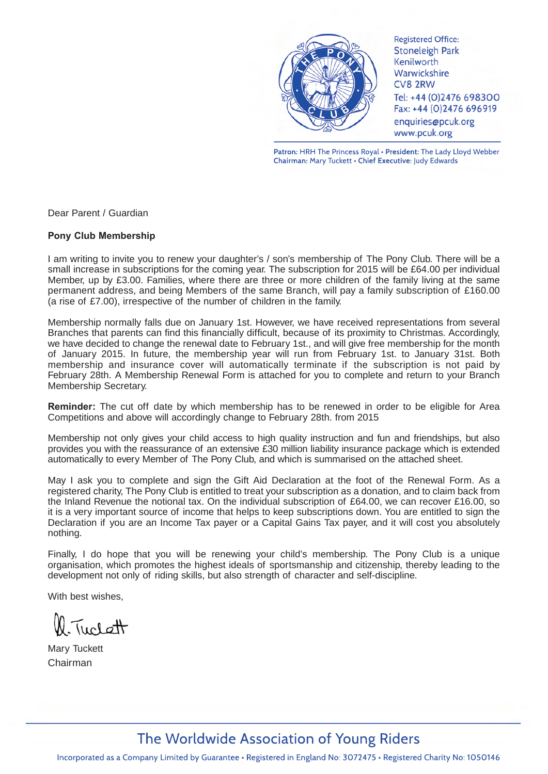

Patron: HRH The Princess Royal · President: The Lady Lloyd Webber Chairman: Mary Tuckett . Chief Executive: Judy Edwards

Dear Parent / Guardian

### **Pony Club Membership**

I am writing to invite you to renew your daughter's / son's membership of The Pony Club. There will be a small increase in subscriptions for the coming year. The subscription for 2015 will be £64.00 per individual Member, up by £3.00. Families, where there are three or more children of the family living at the same permanent address, and being Members of the same Branch, will pay a family subscription of £160.00 (a rise of £7.00), irrespective of the number of children in the family.

Membership normally falls due on January 1st. However, we have received representations from several Branches that parents can find this financially difficult, because of its proximity to Christmas. Accordingly, we have decided to change the renewal date to February 1st., and will give free membership for the month of January 2015. In future, the membership year will run from February 1st. to January 31st. Both membership and insurance cover will automatically terminate if the subscription is not paid by February 28th. A Membership Renewal Form is attached for you to complete and return to your Branch Membership Secretary.

**Reminder:** The cut off date by which membership has to be renewed in order to be eligible for Area Competitions and above will accordingly change to February 28th. from 2015

Membership not only gives your child access to high quality instruction and fun and friendships, but also provides you with the reassurance of an extensive £30 million liability insurance package which is extended automatically to every Member of The Pony Club, and which is summarised on the attached sheet.

May I ask you to complete and sign the Gift Aid Declaration at the foot of the Renewal Form. As a registered charity, The Pony Club is entitled to treat your subscription as a donation, and to claim back from the Inland Revenue the notional tax. On the individual subscription of £64.00, we can recover £16.00, so it is a very important source of income that helps to keep subscriptions down. You are entitled to sign the Declaration if you are an Income Tax payer or a Capital Gains Tax payer, and it will cost you absolutely nothing.

Finally, I do hope that you will be renewing your child's membership. The Pony Club is a unique organisation, which promotes the highest ideals of sportsmanship and citizenship, thereby leading to the development not only of riding skills, but also strength of character and self-discipline.

With best wishes,

Tuclett

Mary Tuckett Chairman

## The Worldwide Association of Young Riders

Incorporated as a Company Limited by Guarantee • Registered in England No: 3072475 • Registered Charity No: 1050146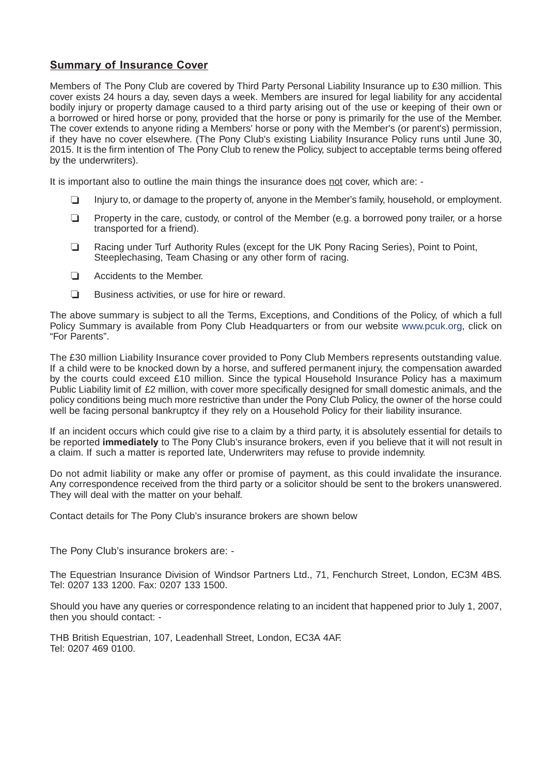## **Summary of Insurance Cover**

Members of The Pony Club are covered by Third Party Personal Liability Insurance up to £30 million. This cover exists 24 hours a day, seven days a week. Members are insured for legal liability for any accidental bodily injury or property damage caused to a third party arising out of the use or keeping of their own or a borrowed or hired horse or pony, provided that the horse or pony is primarily for the use of the Member. The cover extends to anyone riding a Members' horse or pony with the Member's (or parent's) permission, if they have no cover elsewhere. (The Pony Club's existing Liability Insurance Policy runs until June 30, 2015. It is the firm intention of The Pony Club to renew the Policy, subject to acceptable terms being offered by the underwriters).

It is important also to outline the main things the insurance does not cover, which are: -

- ❏ Injury to, or damage to the property of, anyone in the Member's family, household, or employment.
- ❏ Property in the care, custody, or control of the Member (e.g. a borrowed pony trailer, or a horse transported for a friend).
- ❏ Racing under Turf Authority Rules (except for the UK Pony Racing Series), Point to Point, Steeplechasing, Team Chasing or any other form of racing.
- ❏ Accidents to the Member.
- ❏ Business activities, or use for hire or reward.

The above summary is subject to all the Terms, Exceptions, and Conditions of the Policy, of which a full Policy Summary is available from Pony Club Headquarters or from our website www.pcuk.org, click on "For Parents".

The £30 million Liability Insurance cover provided to Pony Club Members represents outstanding value. If a child were to be knocked down by a horse, and suffered permanent injury, the compensation awarded by the courts could exceed £10 million. Since the typical Household Insurance Policy has a maximum Public Liability limit of £2 million, with cover more specifically designed for small domestic animals, and the policy conditions being much more restrictive than under the Pony Club Policy, the owner of the horse could well be facing personal bankruptcy if they rely on a Household Policy for their liability insurance.

If an incident occurs which could give rise to a claim by a third party, it is absolutely essential for details to be reported **immediately** to The Pony Club's insurance brokers, even if you believe that it will not result in a claim. If such a matter is reported late, Underwriters may refuse to provide indemnity.

Do not admit liability or make any offer or promise of payment, as this could invalidate the insurance. Any correspondence received from the third party or a solicitor should be sent to the brokers unanswered. They will deal with the matter on your behalf.

Contact details for The Pony Club's insurance brokers are shown below

The Pony Club's insurance brokers are: -

The Equestrian Insurance Division of Windsor Partners Ltd., 71, Fenchurch Street, London, EC3M 4BS. Tel: 0207 133 1200. Fax: 0207 133 1500.

Should you have any queries or correspondence relating to an incident that happened prior to July 1, 2007, then you should contact: -

THB British Equestrian, 107, Leadenhall Street, London, EC3A 4AF. Tel: 0207 469 0100.